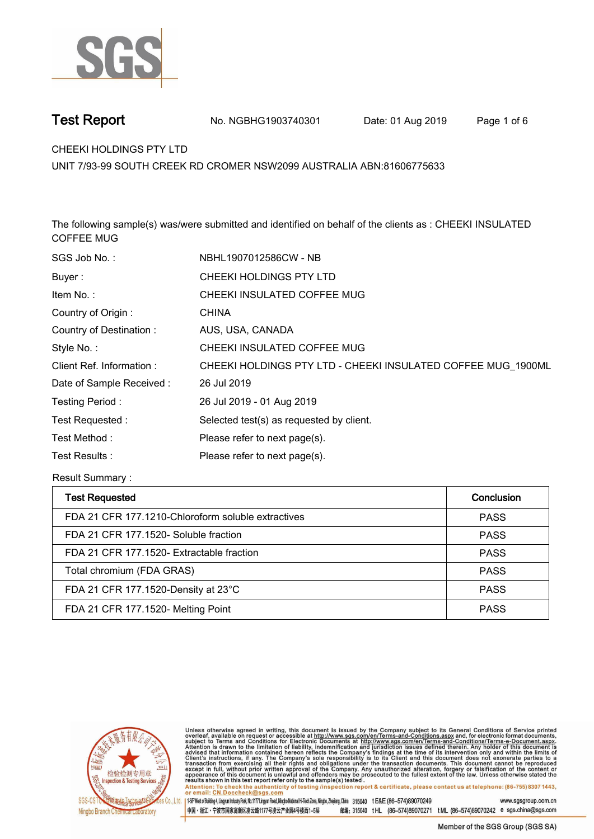

**Test Report. No. NGBHG1903740301** Date: 01 Aug 2019 Page 1 of 6

**CHEEKI HOLDINGS PTY LTD.**

**UNIT 7/93-99 SOUTH CREEK RD CROMER NSW2099 AUSTRALIA ABN:81606775633**

**The following sample(s) was/were submitted and identified on behalf of the clients as : CHEEKI INSULATED COFFEE MUG.**

| SGS Job No.:             | NBHL1907012586CW - NB                                        |
|--------------------------|--------------------------------------------------------------|
| Buyer:                   | CHEEKI HOLDINGS PTY LTD                                      |
| Item No.:                | CHEEKI INSULATED COFFEE MUG                                  |
| Country of Origin:       | <b>CHINA</b>                                                 |
| Country of Destination:  | AUS, USA, CANADA                                             |
| Style No.:               | CHEEKI INSULATED COFFEE MUG                                  |
| Client Ref. Information: | CHEEKI HOLDINGS PTY LTD - CHEEKI INSULATED COFFEE MUG 1900ML |
| Date of Sample Received: | 26 Jul 2019                                                  |
| Testing Period:          | 26 Jul 2019 - 01 Aug 2019                                    |
| Test Requested:          | Selected test(s) as requested by client.                     |
| Test Method:             | Please refer to next page(s).                                |
| Test Results:            | Please refer to next page(s).                                |

**Result Summary :.**

| <b>Test Requested</b>                              | Conclusion  |
|----------------------------------------------------|-------------|
| FDA 21 CFR 177.1210-Chloroform soluble extractives | <b>PASS</b> |
| FDA 21 CFR 177.1520- Soluble fraction              | <b>PASS</b> |
| FDA 21 CFR 177.1520- Extractable fraction          | <b>PASS</b> |
| Total chromium (FDA GRAS)                          | <b>PASS</b> |
| FDA 21 CFR 177.1520-Density at 23°C                | <b>PASS</b> |
| FDA 21 CFR 177.1520- Melting Point                 | <b>PASS</b> |



Unless otherwise agreed in writing, this document is issued by the Company subject to its General Conditions of Service printed<br>overleaf, available on request or accessible at http://www.sgs.com/en/Terms-and-Conditions.asp

Attention: To check the authenticity of testing linspection report & certificate, please contact us at telephone: (86-755) 8307 1443, or email: CN.Doccheck@sgs.com 15F West of Building 4, Lingyun Industry Park, No.1177 Lingyun Road, Ningbo National Hi-Tech Zone, Ningbo, Zhejiang, China 315040 t E&E (86-574)89070249 www.sasaroup.com.cn

中国・浙江・宁波市国家高新区凌云路1177号凌云产业园4号楼西1-5层 邮编: 315040 tHL (86-574)89070271 tML (86-574)89070242 e sgs.china@sgs.com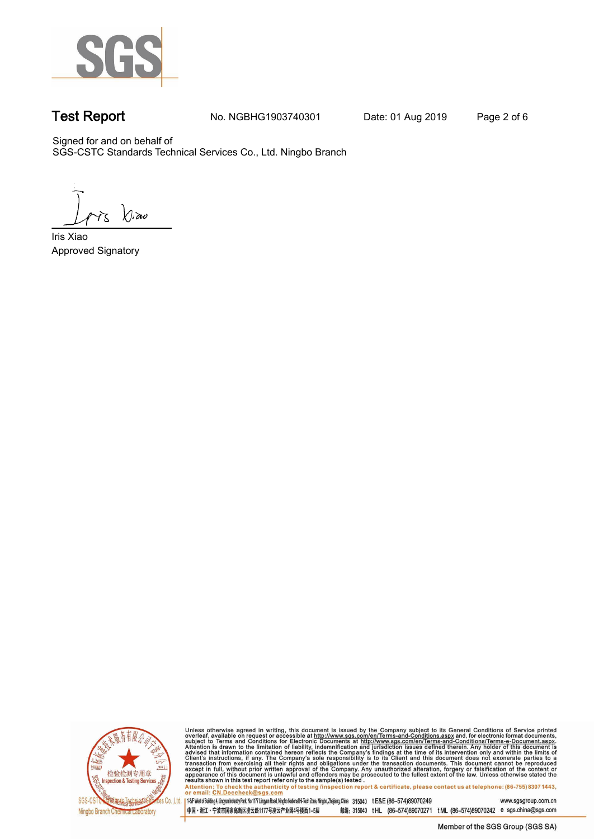

**Test Report. No. NGBHG1903740301 Date: 01 Aug 2019. Page 2 of 6.**

Signed for and on behalf of SGS-CSTC Standards Technical Services Co., Ltd. Ningbo Branch.

 $\chi_{\nu}$ ao

**Approved Signatory . . . Iris Xiao.**



Unless otherwise agreed in writing, this document is issued by the Company subject to its General Conditions of Service printed overleaf, available on request or accessible at http://www.sgs.com/en/Terms-and-Conditions.as

145F West of Building 4, Lingun Industry Park, No. 1177 Lingyun Road, Ningbo National Hi-Tech Zone, Ningbo, Zhejiang, China 315040 t E&E (86-574)89070249 www.sgsgroup.com.cn

中国・浙江・宁波市国家高新区凌云路1177号凌云产业园4号楼西1-5层 邮编: 315040 tHL (86-574)89070271 tML (86-574)89070242 e sgs.china@sgs.com Member of the SGS Group (SGS SA)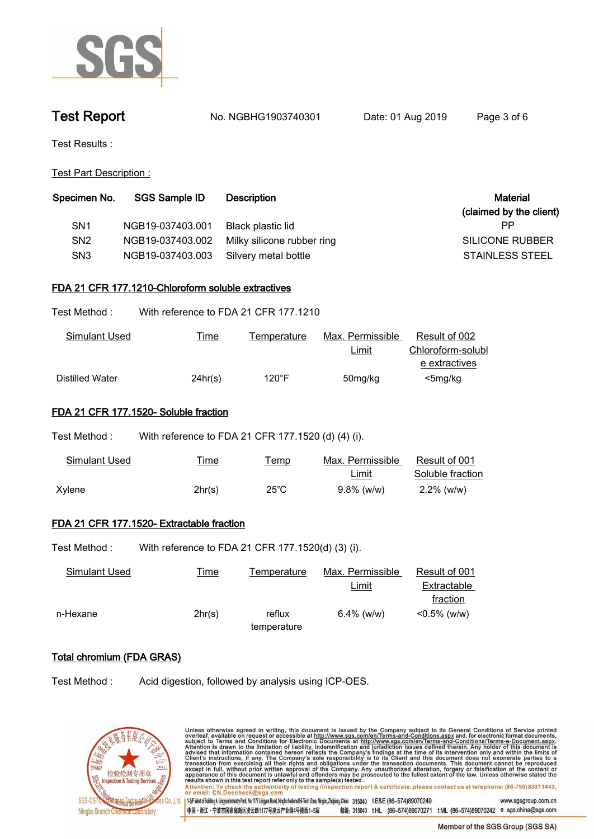

**Test Report. No. NGBHG1903740301 Date: 01 Aug 2019. Page 3 of 6.**

**Test Results :.**

**Test Part Description :.**

| Specimen No.    | <b>SGS Sample ID</b> | <b>Description</b>         | <b>Material</b>         |
|-----------------|----------------------|----------------------------|-------------------------|
|                 |                      |                            | (claimed by the client) |
| SN <sub>1</sub> | NGB19-037403.001     | Black plastic lid          | РP                      |
| SN <sub>2</sub> | NGB19-037403.002     | Milky silicone rubber ring | SILICONE RUBBER         |
| SN <sub>3</sub> | NGB19-037403.003     | Silvery metal bottle       | <b>STAINLESS STEEL</b>  |

### **FDA 21 CFR 177.1210-Chloroform soluble extractives.**

| Test Method : | With reference to FDA 21 CFR 177.1210 |
|---------------|---------------------------------------|
|               |                                       |

| Simulant Used   | <u>Time</u> | l emperature | Max. Permissible | Result of 002     |
|-----------------|-------------|--------------|------------------|-------------------|
|                 |             |              | <b>Limit</b>     | Chloroform-solubl |
|                 |             |              |                  | e extractives     |
| Distilled Water | 24hr(s)     | 120°F        | 50mg/kg          | $<$ 5mg/kg        |

## **FDA 21 CFR 177.1520- Soluble fraction.**

| Test Method : | With reference to FDA 21 CFR 177.1520 (d) (4) (i). |                |                           |                                   |
|---------------|----------------------------------------------------|----------------|---------------------------|-----------------------------------|
| Simulant Used | I ime                                              | I emp          | Max. Permissible<br>Limit | Result of 001<br>Soluble fraction |
| Xylene        | 2hr(s)                                             | $25^{\circ}$ C | $9.8\%$ (w/w)             | $2.2\%$ (w/w)                     |

# **FDA 21 CFR 177.1520- Extractable fraction.**

Test Method : With reference to FDA 21 CFR 177.1520(d) (3) (i).

| Simulant Used | <u>Fime</u> | Temperature | Max. Permissible | Result of 001   |
|---------------|-------------|-------------|------------------|-----------------|
|               |             |             | <u>Limit</u>     | Extractable     |
|               |             |             |                  | fraction        |
| n-Hexane      | 2hr(s)      | reflux      | $6.4\%$ (w/w)    | $< 0.5\%$ (w/w) |
|               |             | temperature |                  |                 |

# **Total chromium (FDA GRAS).**

**Test Method :. Acid digestion, followed by analysis using ICP-OES..**



| Unless otherwise agreed in writing, this document is issued by the Company subject to its General Conditions of Service printed<br>overleaf, available on request or accessible at http://www.sqs.com/en/Terms-and-Conditions.aspx and, for electronic format documents,<br>subject to Terms and Conditions for Electronic Documents at http://www.sgs.com/en/Terms-and-Conditions/Terms-e-Document.aspx.<br>Attention is drawn to the limitation of liability, indemnification and jurisdiction issues defined therein. Any holder of this document is<br>advised that information contained hereon reflects the Company's findings at the time of its intervention only and within the limits of<br>Client's instructions, if any. The Company's sole responsibility is to its Client and this document does not exonerate parties to a<br>transaction from exercising all their rights and obligations under the transaction documents. This document cannot be reproduced<br>except in full, without prior written approval of the Company. Any unauthorized alteration, forgery or falsification of the content or<br>appearance of this document is unlawful and offenders may be prosecuted to the fullest extent of the law. Unless otherwise stated the<br>results shown in this test report refer only to the sample(s) tested. |                     |
|-------------------------------------------------------------------------------------------------------------------------------------------------------------------------------------------------------------------------------------------------------------------------------------------------------------------------------------------------------------------------------------------------------------------------------------------------------------------------------------------------------------------------------------------------------------------------------------------------------------------------------------------------------------------------------------------------------------------------------------------------------------------------------------------------------------------------------------------------------------------------------------------------------------------------------------------------------------------------------------------------------------------------------------------------------------------------------------------------------------------------------------------------------------------------------------------------------------------------------------------------------------------------------------------------------------------------------------------|---------------------|
| Attention: To check the authenticity of testing /inspection report & certificate, please contact us at telephone: (86-755) 8307 1443,<br>or email: CN.Doccheck@sgs.com                                                                                                                                                                                                                                                                                                                                                                                                                                                                                                                                                                                                                                                                                                                                                                                                                                                                                                                                                                                                                                                                                                                                                                    |                     |
| 0 . 1 1-5 F West of Building 4, Lingyun Industry Park, No.1177 Lingyun Road, Ningbo National Hi-Tech Zone, Ningbo, Zheijang, China 315040<br>t E&E (86-574)89070249                                                                                                                                                                                                                                                                                                                                                                                                                                                                                                                                                                                                                                                                                                                                                                                                                                                                                                                                                                                                                                                                                                                                                                       | www.sgsgroup.com.cn |
| 邮编: 315040 tHL (86-574)89070271 tML (86-574)89070242 e sgs.china@sgs.com<br>中国・浙江・宁波市国家高新区凌云路1177号凌云产业园4号楼西1-5层                                                                                                                                                                                                                                                                                                                                                                                                                                                                                                                                                                                                                                                                                                                                                                                                                                                                                                                                                                                                                                                                                                                                                                                                                           |                     |

Member of the SGS Group (SGS SA)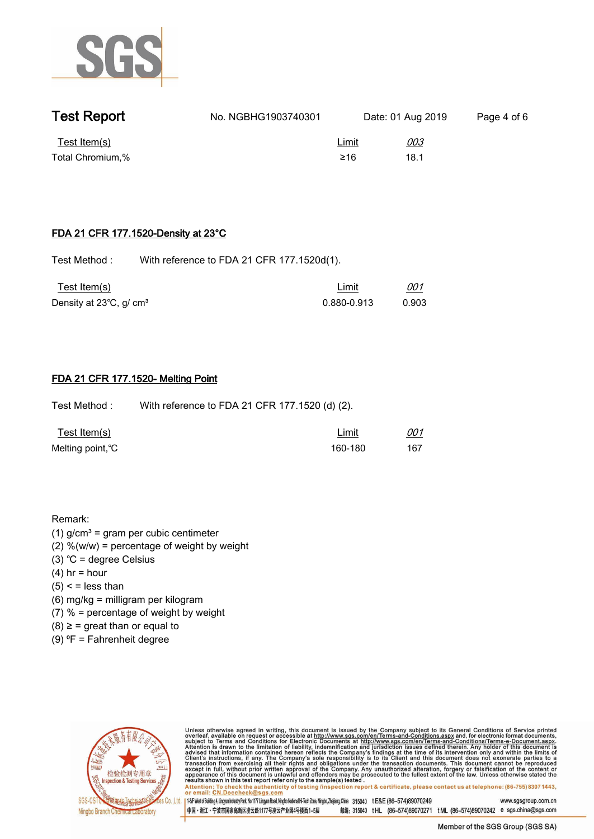

| <b>Test Report</b>               | No. NGBHG1903740301 |                     | Date: 01 Aug 2019  | Page 4 of 6 |
|----------------------------------|---------------------|---------------------|--------------------|-------------|
| Test Item(s)<br>Total Chromium,% |                     | <u>Limit</u><br>≥16 | <u>003</u><br>18.1 |             |

### **FDA 21 CFR 177.1520-Density at 23°C.**

Test Method : With reference to FDA 21 CFR 177.1520d(1).

| Test Item(s)                        | Limit       | 001   |  |
|-------------------------------------|-------------|-------|--|
| Density at 23°C, g/ cm <sup>3</sup> | 0.880-0.913 | 0.903 |  |

### **FDA 21 CFR 177.1520- Melting Point.**

**Test Method :. With reference to FDA 21 CFR 177.1520 (d) (2)..**

| <u>Test Item(s)</u> | Limit   | 001 |  |
|---------------------|---------|-----|--|
| Melting point, °C   | 160-180 | 167 |  |

**Remark:**

- **(1) g/cm³ = gram per cubic centimeter**
- **(2) %(w/w) = percentage of weight by weight**
- **(3) ℃ = degree Celsius**
- **(4) hr = hour**
- **(5) < = less than**
- **(6) mg/kg = milligram per kilogram**
- **(7) % = percentage of weight by weight**
- **(8) ≥ = great than or equal to**
- **(9) ⁰F = Fahrenheit degree.**



Unless otherwise agreed in writing, this document is issued by the Company subject to its General Conditions of Service printed<br>overleaf, available on request or accessible at http://www.sgs.com/en/Terms-and-Conditions.asp

Attention: To check the authenticity of testing linspection report & certificate, please contact us at telephone: (86-755) 8307 1443, or email: CN.Doccheck@sgs.com 145F West of Building 4, Lingun Industry Park, No.1177 Lingun Road, Ningbo National Hi-Tech Zone, Ningbo, Zhejiang, China 315040 tE&E (86-574)89070249 www.sasgroup.com.cn

中国·浙江·宁波市国家高新区凌云路1177号凌云产业园4号楼西1-5层 邮编: 315040 tHL (86-574)89070271 tML (86-574)89070242 e sgs.china@sgs.com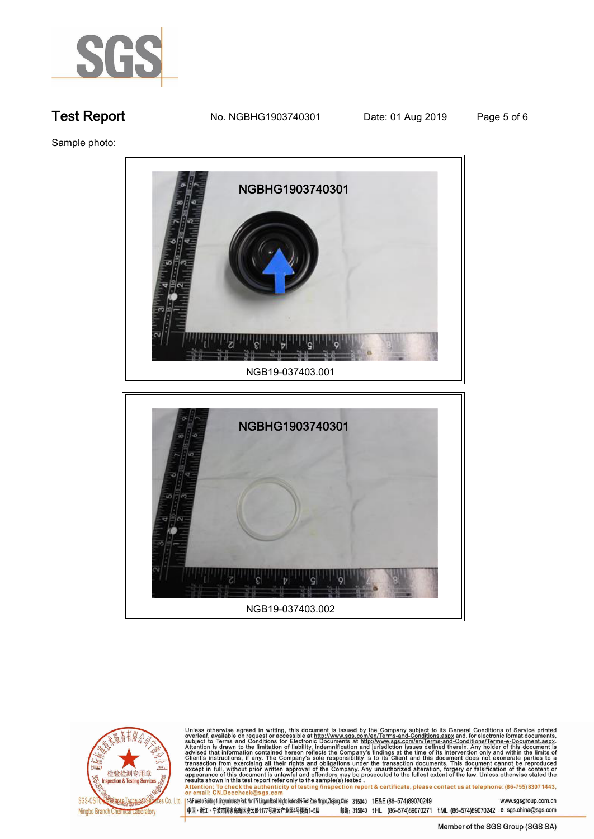

**Test Report. No. NGBHG1903740301 Date: 01 Aug 2019. Page 5 of 6.**

**Sample photo:.**





Unless otherwise agreed in writing, this document is issued by the Company subject to its General Conditions of Service printed overleaf, available on request or accessible at http://www.sgs.com/en/Terms-and-Conditions.as

145F West of Building 4, Lingun Industry Park, No. 1177 Lingyun Road, Ningbo National Hi-Tech Zone, Ningbo, Zhejiang, China 315040 t E&E (86-574)89070249 www.sgsgroup.com.cn 中国・浙江・宁波市国家高新区凌云路1177号凌云产业园4号楼西1-5层

邮编: 315040 tHL (86-574)89070271 tML (86-574)89070242 e sgs.china@sgs.com